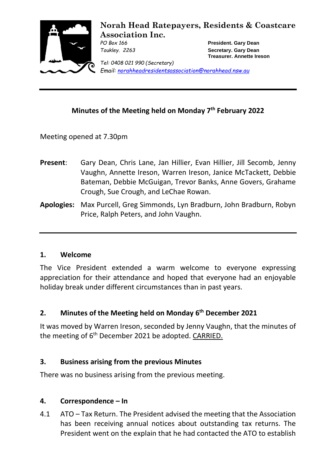

**Norah Head Ratepayers, Residents & Coastcare Association Inc.**

*PO Box 166* **President. Gary Dean** *Toukley. 2263* **Secretary. Gary Dean Treasurer. Annette Ireson**

*Tel: 0408 021 990 (Secretary) Email: [norahheadresidentsassociation@norahhead.nsw.au](mailto:norahheadresidentsassociation@norahhead.nsw.au)*

## **Minutes of the Meeting held on Monday 7 th February 2022**

Meeting opened at 7.30pm

- **Present**: Gary Dean, Chris Lane, Jan Hillier, Evan Hillier, Jill Secomb, Jenny Vaughn, Annette Ireson, Warren Ireson, Janice McTackett, Debbie Bateman, Debbie McGuigan, Trevor Banks, Anne Govers, Grahame Crough, Sue Crough, and LeChae Rowan.
- **Apologies:** Max Purcell, Greg Simmonds, Lyn Bradburn, John Bradburn, Robyn Price, Ralph Peters, and John Vaughn.

#### **1. Welcome**

The Vice President extended a warm welcome to everyone expressing appreciation for their attendance and hoped that everyone had an enjoyable holiday break under different circumstances than in past years.

# **2. Minutes of the Meeting held on Monday 6 th December 2021**

It was moved by Warren Ireson, seconded by Jenny Vaughn, that the minutes of the meeting of 6<sup>th</sup> December 2021 be adopted. CARRIED.

#### **3. Business arising from the previous Minutes**

There was no business arising from the previous meeting.

### **4. Correspondence – In**

4.1 ATO – Tax Return. The President advised the meeting that the Association has been receiving annual notices about outstanding tax returns. The President went on the explain that he had contacted the ATO to establish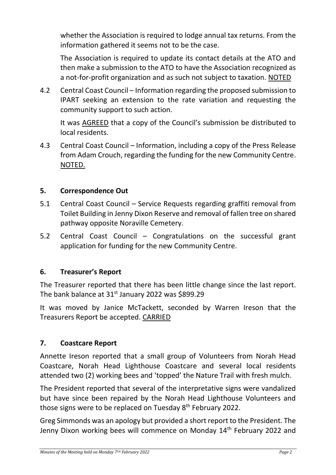whether the Association is required to lodge annual tax returns. From the information gathered it seems not to be the case.

The Association is required to update its contact details at the ATO and then make a submission to the ATO to have the Association recognized as a not-for-profit organization and as such not subject to taxation. NOTED

4.2 Central Coast Council – Information regarding the proposed submission to IPART seeking an extension to the rate variation and requesting the community support to such action.

It was AGREED that a copy of the Council's submission be distributed to local residents.

4.3 Central Coast Council – Information, including a copy of the Press Release from Adam Crouch, regarding the funding for the new Community Centre. NOTED.

### **5. Correspondence Out**

- 5.1 Central Coast Council Service Requests regarding graffiti removal from Toilet Building in Jenny Dixon Reserve and removal of fallen tree on shared pathway opposite Noraville Cemetery.
- 5.2 Central Coast Council Congratulations on the successful grant application for funding for the new Community Centre.

### **6. Treasurer's Report**

The Treasurer reported that there has been little change since the last report. The bank balance at 31<sup>st</sup> January 2022 was \$899.29

It was moved by Janice McTackett, seconded by Warren Ireson that the Treasurers Report be accepted. CARRIED

### **7. Coastcare Report**

Annette Ireson reported that a small group of Volunteers from Norah Head Coastcare, Norah Head Lighthouse Coastcare and several local residents attended two (2) working bees and 'topped' the Nature Trail with fresh mulch.

The President reported that several of the interpretative signs were vandalized but have since been repaired by the Norah Head Lighthouse Volunteers and those signs were to be replaced on Tuesday 8<sup>th</sup> February 2022.

Greg Simmonds was an apology but provided a short report to the President. The Jenny Dixon working bees will commence on Monday 14<sup>th</sup> February 2022 and